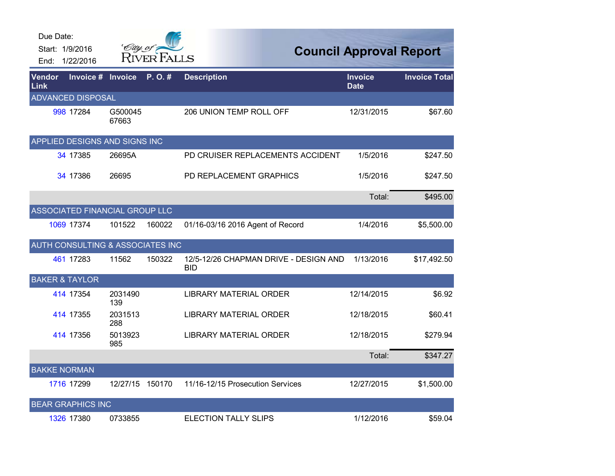| Due Date:<br>End: | Start: 1/9/2016<br>1/22/2016     | City of          | <b>RIVER FALLS</b> |                                                     | <b>Council Approval Report</b> |                      |
|-------------------|----------------------------------|------------------|--------------------|-----------------------------------------------------|--------------------------------|----------------------|
| Vendor<br>Link    | Invoice #                        | Invoice          | P.O.#              | <b>Description</b>                                  | <b>Invoice</b><br><b>Date</b>  | <b>Invoice Total</b> |
|                   | <b>ADVANCED DISPOSAL</b>         |                  |                    |                                                     |                                |                      |
|                   | 998 17284                        | G500045<br>67663 |                    | 206 UNION TEMP ROLL OFF                             | 12/31/2015                     | \$67.60              |
|                   | APPLIED DESIGNS AND SIGNS INC    |                  |                    |                                                     |                                |                      |
|                   | 34 17385                         | 26695A           |                    | PD CRUISER REPLACEMENTS ACCIDENT                    | 1/5/2016                       | \$247.50             |
|                   | 34 17386                         | 26695            |                    | PD REPLACEMENT GRAPHICS                             | 1/5/2016                       | \$247.50             |
|                   |                                  |                  |                    |                                                     | Total:                         | \$495.00             |
|                   | ASSOCIATED FINANCIAL GROUP LLC   |                  |                    |                                                     |                                |                      |
|                   | 1069 17374                       | 101522           | 160022             | 01/16-03/16 2016 Agent of Record                    | 1/4/2016                       | \$5,500.00           |
|                   | AUTH CONSULTING & ASSOCIATES INC |                  |                    |                                                     |                                |                      |
|                   | 461 17283                        | 11562            | 150322             | 12/5-12/26 CHAPMAN DRIVE - DESIGN AND<br><b>BID</b> | 1/13/2016                      | \$17,492.50          |
|                   | <b>BAKER &amp; TAYLOR</b>        |                  |                    |                                                     |                                |                      |
|                   | 414 17354                        | 2031490<br>139   |                    | <b>LIBRARY MATERIAL ORDER</b>                       | 12/14/2015                     | \$6.92               |
|                   | 414 17355                        | 2031513<br>288   |                    | <b>LIBRARY MATERIAL ORDER</b>                       | 12/18/2015                     | \$60.41              |
|                   | 414 17356                        | 5013923<br>985   |                    | <b>LIBRARY MATERIAL ORDER</b>                       | 12/18/2015                     | \$279.94             |
|                   |                                  |                  |                    |                                                     | Total:                         | \$347.27             |
|                   | <b>BAKKE NORMAN</b>              |                  |                    |                                                     |                                |                      |
|                   | 1716 17299                       | 12/27/15         | 150170             | 11/16-12/15 Prosecution Services                    | 12/27/2015                     | \$1,500.00           |
|                   | <b>BEAR GRAPHICS INC</b>         |                  |                    |                                                     |                                |                      |
|                   | 1326 17380                       | 0733855          |                    | <b>ELECTION TALLY SLIPS</b>                         | 1/12/2016                      | \$59.04              |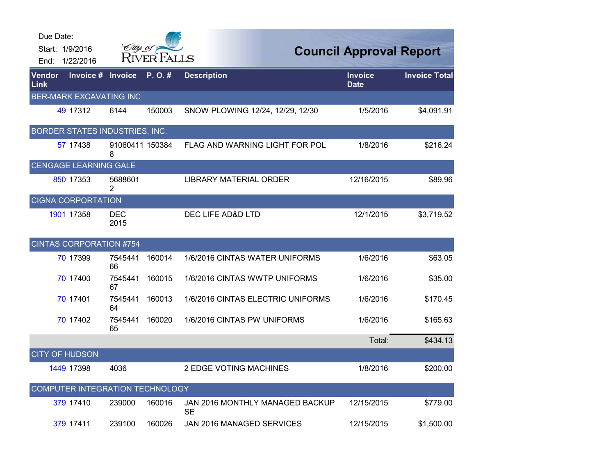| Due Date:<br>End:     | Start: 1/9/2016<br>1/22/2016    | City of              | <b>RIVER FALLS</b> |                                              | <b>Council Approval Report</b> |                      |
|-----------------------|---------------------------------|----------------------|--------------------|----------------------------------------------|--------------------------------|----------------------|
| <b>Vendor</b><br>Link | Invoice #                       | <b>Invoice</b>       | P.O.#              | <b>Description</b>                           | Invoice<br><b>Date</b>         | <b>Invoice Total</b> |
|                       | <b>BER-MARK EXCAVATING INC</b>  |                      |                    |                                              |                                |                      |
|                       | 49 17312                        | 6144                 | 150003             | SNOW PLOWING 12/24, 12/29, 12/30             | 1/5/2016                       | \$4,091.91           |
|                       | BORDER STATES INDUSTRIES, INC.  |                      |                    |                                              |                                |                      |
|                       | 57 17438                        | 91060411 150384<br>8 |                    | FLAG AND WARNING LIGHT FOR POL               | 1/8/2016                       | \$216.24             |
|                       | <b>CENGAGE LEARNING GALE</b>    |                      |                    |                                              |                                |                      |
|                       | 850 17353                       | 5688601<br>2         |                    | <b>LIBRARY MATERIAL ORDER</b>                | 12/16/2015                     | \$89.96              |
|                       | <b>CIGNA CORPORTATION</b>       |                      |                    |                                              |                                |                      |
|                       | 1901 17358                      | <b>DEC</b><br>2015   |                    | DEC LIFE AD&D LTD                            | 12/1/2015                      | \$3,719.52           |
|                       | <b>CINTAS CORPORATION #754</b>  |                      |                    |                                              |                                |                      |
|                       | 70 17399                        | 7545441<br>66        | 160014             | 1/6/2016 CINTAS WATER UNIFORMS               | 1/6/2016                       | \$63.05              |
|                       | 70 17400                        | 7545441<br>67        | 160015             | 1/6/2016 CINTAS WWTP UNIFORMS                | 1/6/2016                       | \$35.00              |
|                       | 70 17401                        | 7545441<br>64        | 160013             | 1/6/2016 CINTAS ELECTRIC UNIFORMS            | 1/6/2016                       | \$170.45             |
|                       | 70 17402                        | 7545441<br>65        | 160020             | 1/6/2016 CINTAS PW UNIFORMS                  | 1/6/2016                       | \$165.63             |
|                       |                                 |                      |                    |                                              | Total:                         | \$434.13             |
|                       | <b>CITY OF HUDSON</b>           |                      |                    |                                              |                                |                      |
|                       | 1449 17398                      | 4036                 |                    | <b>2 EDGE VOTING MACHINES</b>                | 1/8/2016                       | \$200.00             |
|                       | COMPUTER INTEGRATION TECHNOLOGY |                      |                    |                                              |                                |                      |
|                       | 379 17410                       | 239000               | 160016             | JAN 2016 MONTHLY MANAGED BACKUP<br><b>SE</b> | 12/15/2015                     | \$779.00             |
|                       | 379 17411                       | 239100               | 160026             | JAN 2016 MANAGED SERVICES                    | 12/15/2015                     | \$1,500.00           |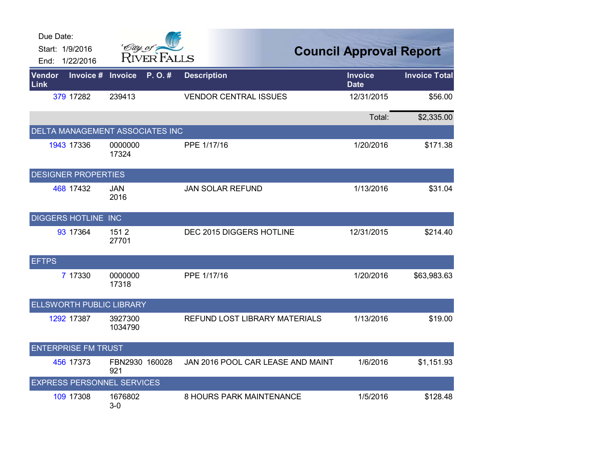| Due Date:                       |                                   |                                   |                                |                      |
|---------------------------------|-----------------------------------|-----------------------------------|--------------------------------|----------------------|
| Start: 1/9/2016                 | City of P<br><b>RIVER FALLS</b>   |                                   | <b>Council Approval Report</b> |                      |
| 1/22/2016<br>End:               |                                   |                                   |                                |                      |
| Vendor<br>Invoice #<br>Link     | <b>Invoice</b><br>P.O.#           | <b>Description</b>                | <b>Invoice</b><br><b>Date</b>  | <b>Invoice Total</b> |
| 379 17282                       | 239413                            | <b>VENDOR CENTRAL ISSUES</b>      | 12/31/2015                     | \$56.00              |
|                                 |                                   |                                   | Total:                         | \$2,335.00           |
|                                 | DELTA MANAGEMENT ASSOCIATES INC   |                                   |                                |                      |
| 1943 17336                      | 0000000<br>17324                  | PPE 1/17/16                       | 1/20/2016                      | \$171.38             |
| <b>DESIGNER PROPERTIES</b>      |                                   |                                   |                                |                      |
| 468 17432                       | <b>JAN</b><br>2016                | <b>JAN SOLAR REFUND</b>           | 1/13/2016                      | \$31.04              |
| DIGGERS HOTLINE INC             |                                   |                                   |                                |                      |
| 93 17364                        | 1512<br>27701                     | DEC 2015 DIGGERS HOTLINE          | 12/31/2015                     | \$214.40             |
| <b>EFTPS</b>                    |                                   |                                   |                                |                      |
| 7 17330                         | 0000000<br>17318                  | PPE 1/17/16                       | 1/20/2016                      | \$63,983.63          |
| <b>ELLSWORTH PUBLIC LIBRARY</b> |                                   |                                   |                                |                      |
| 1292 17387                      | 3927300<br>1034790                | REFUND LOST LIBRARY MATERIALS     | 1/13/2016                      | \$19.00              |
| <b>ENTERPRISE FM TRUST</b>      |                                   |                                   |                                |                      |
| 456 17373                       | FBN2930 160028<br>921             | JAN 2016 POOL CAR LEASE AND MAINT | 1/6/2016                       | \$1,151.93           |
|                                 | <b>EXPRESS PERSONNEL SERVICES</b> |                                   |                                |                      |
| 109 17308                       | 1676802<br>$3-0$                  | 8 HOURS PARK MAINTENANCE          | 1/5/2016                       | \$128.48             |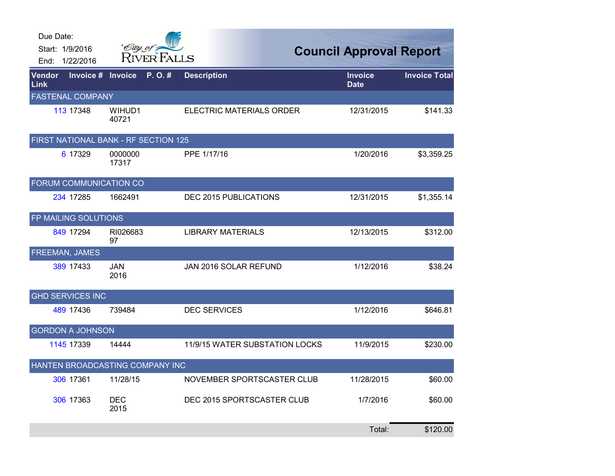| Due Date:                            |                    |                                |                                |                      |
|--------------------------------------|--------------------|--------------------------------|--------------------------------|----------------------|
| Start: 1/9/2016                      | City of            | <b>RIVER FALLS</b>             | <b>Council Approval Report</b> |                      |
| End: 1/22/2016                       |                    |                                |                                |                      |
| Invoice #<br><b>Vendor</b><br>Link   | <b>Invoice</b>     | P.O.#<br><b>Description</b>    | <b>Invoice</b><br><b>Date</b>  | <b>Invoice Total</b> |
| <b>FASTENAL COMPANY</b>              |                    |                                |                                |                      |
| 113 17348                            | WIHUD1<br>40721    | ELECTRIC MATERIALS ORDER       | 12/31/2015                     | \$141.33             |
| FIRST NATIONAL BANK - RF SECTION 125 |                    |                                |                                |                      |
| 6 17329                              | 0000000<br>17317   | PPE 1/17/16                    | 1/20/2016                      | \$3,359.25           |
| FORUM COMMUNICATION CO               |                    |                                |                                |                      |
| 234 17285                            | 1662491            | DEC 2015 PUBLICATIONS          | 12/31/2015                     | \$1,355.14           |
| FP MAILING SOLUTIONS                 |                    |                                |                                |                      |
| 849 17294                            | RI026683<br>97     | <b>LIBRARY MATERIALS</b>       | 12/13/2015                     | \$312.00             |
| FREEMAN, JAMES                       |                    |                                |                                |                      |
| 389 17433                            | <b>JAN</b><br>2016 | JAN 2016 SOLAR REFUND          | 1/12/2016                      | \$38.24              |
| <b>GHD SERVICES INC</b>              |                    |                                |                                |                      |
| 489 17436                            | 739484             | <b>DEC SERVICES</b>            | 1/12/2016                      | \$646.81             |
| <b>GORDON A JOHNSON</b>              |                    |                                |                                |                      |
| 1145 17339                           | 14444              | 11/9/15 WATER SUBSTATION LOCKS | 11/9/2015                      | \$230.00             |
| HANTEN BROADCASTING COMPANY INC      |                    |                                |                                |                      |
| 306 17361                            | 11/28/15           | NOVEMBER SPORTSCASTER CLUB     | 11/28/2015                     | \$60.00              |
| 306 17363                            | <b>DEC</b><br>2015 | DEC 2015 SPORTSCASTER CLUB     | 1/7/2016                       | \$60.00              |
|                                      |                    |                                | Total:                         | \$120.00             |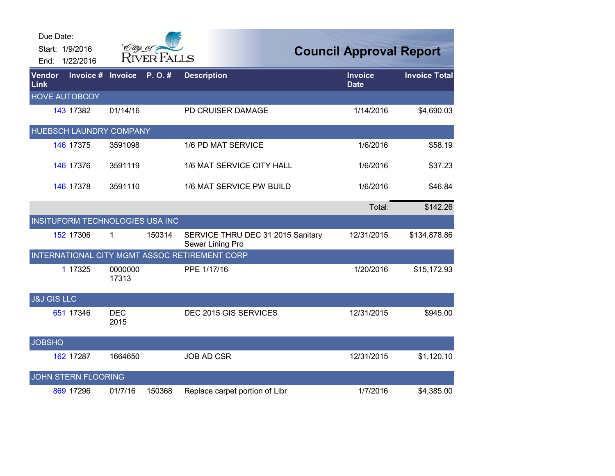| Due Date:              | Start: 1/9/2016<br>End: 1/22/2016 | City of            | <b>RIVER FALLS</b> |                                                       | <b>Council Approval Report</b> |                      |
|------------------------|-----------------------------------|--------------------|--------------------|-------------------------------------------------------|--------------------------------|----------------------|
| <b>Vendor</b><br>Link  | Invoice #                         | <b>Invoice</b>     | P.O.#              | <b>Description</b>                                    | <b>Invoice</b><br><b>Date</b>  | <b>Invoice Total</b> |
|                        | <b>HOVE AUTOBODY</b>              |                    |                    |                                                       |                                |                      |
|                        | 143 17382                         | 01/14/16           |                    | PD CRUISER DAMAGE                                     | 1/14/2016                      | \$4,690.03           |
|                        | HUEBSCH LAUNDRY COMPANY           |                    |                    |                                                       |                                |                      |
|                        | 146 17375                         | 3591098            |                    | 1/6 PD MAT SERVICE                                    | 1/6/2016                       | \$58.19              |
|                        | 146 17376                         | 3591119            |                    | 1/6 MAT SERVICE CITY HALL                             | 1/6/2016                       | \$37.23              |
|                        | 146 17378                         | 3591110            |                    | 1/6 MAT SERVICE PW BUILD                              | 1/6/2016                       | \$46.84              |
|                        |                                   |                    |                    |                                                       | Total:                         | \$142.26             |
|                        | INSITUFORM TECHNOLOGIES USA INC   |                    |                    |                                                       |                                |                      |
|                        | 152 17306                         | 1                  | 150314             | SERVICE THRU DEC 31 2015 Sanitary<br>Sewer Lining Pro | 12/31/2015                     | \$134,878.86         |
|                        |                                   |                    |                    | INTERNATIONAL CITY MGMT ASSOC RETIREMENT CORP         |                                |                      |
|                        | 1 17325                           | 0000000<br>17313   |                    | PPE 1/17/16                                           | 1/20/2016                      | \$15,172.93          |
| <b>J&amp;J GIS LLC</b> |                                   |                    |                    |                                                       |                                |                      |
|                        | 651 17346                         | <b>DEC</b><br>2015 |                    | DEC 2015 GIS SERVICES                                 | 12/31/2015                     | \$945.00             |
| <b>JOBSHQ</b>          |                                   |                    |                    |                                                       |                                |                      |
|                        | 162 17287                         | 1664650            |                    | <b>JOB AD CSR</b>                                     | 12/31/2015                     | \$1,120.10           |
|                        | JOHN STERN FLOORING               |                    |                    |                                                       |                                |                      |
|                        | 869 17296                         | 01/7/16            | 150368             | Replace carpet portion of Libr                        | 1/7/2016                       | \$4,385.00           |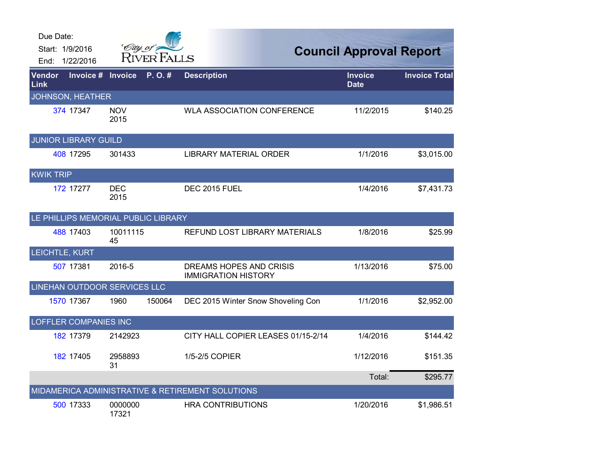| Due Date:             |                                     |                    |                    |                                                       |                                |                      |
|-----------------------|-------------------------------------|--------------------|--------------------|-------------------------------------------------------|--------------------------------|----------------------|
|                       | Start: 1/9/2016                     | City of a          |                    |                                                       | <b>Council Approval Report</b> |                      |
|                       | End: 1/22/2016                      |                    | <b>RIVER FALLS</b> |                                                       |                                |                      |
| Vendor<br><b>Link</b> | Invoice #                           | Invoice            | P.O.#              | <b>Description</b>                                    | <b>Invoice</b><br><b>Date</b>  | <b>Invoice Total</b> |
|                       | <b>JOHNSON, HEATHER</b>             |                    |                    |                                                       |                                |                      |
|                       | 374 17347                           | <b>NOV</b><br>2015 |                    | <b>WLA ASSOCIATION CONFERENCE</b>                     | 11/2/2015                      | \$140.25             |
|                       | <b>JUNIOR LIBRARY GUILD</b>         |                    |                    |                                                       |                                |                      |
|                       | 408 17295                           | 301433             |                    | LIBRARY MATERIAL ORDER                                | 1/1/2016                       | \$3,015.00           |
| <b>KWIK TRIP</b>      |                                     |                    |                    |                                                       |                                |                      |
|                       | 172 17277                           | <b>DEC</b><br>2015 |                    | <b>DEC 2015 FUEL</b>                                  | 1/4/2016                       | \$7,431.73           |
|                       | LE PHILLIPS MEMORIAL PUBLIC LIBRARY |                    |                    |                                                       |                                |                      |
|                       | 488 17403                           | 10011115<br>45     |                    | REFUND LOST LIBRARY MATERIALS                         | 1/8/2016                       | \$25.99              |
|                       | LEICHTLE, KURT                      |                    |                    |                                                       |                                |                      |
|                       | 507 17381                           | 2016-5             |                    | DREAMS HOPES AND CRISIS<br><b>IMMIGRATION HISTORY</b> | 1/13/2016                      | \$75.00              |
|                       | LINEHAN OUTDOOR SERVICES LLC        |                    |                    |                                                       |                                |                      |
|                       | 1570 17367                          | 1960               | 150064             | DEC 2015 Winter Snow Shoveling Con                    | 1/1/2016                       | \$2,952.00           |
|                       | OFFLER COMPANIES INC                |                    |                    |                                                       |                                |                      |
|                       | 182 17379                           | 2142923            |                    | CITY HALL COPIER LEASES 01/15-2/14                    | 1/4/2016                       | \$144.42             |
|                       | 182 17405                           | 2958893<br>31      |                    | 1/5-2/5 COPIER                                        | 1/12/2016                      | \$151.35             |
|                       |                                     |                    |                    |                                                       | Total:                         | \$295.77             |
|                       |                                     |                    |                    | MIDAMERICA ADMINISTRATIVE & RETIREMENT SOLUTIONS      |                                |                      |
|                       | 500 17333                           | 0000000<br>17321   |                    | <b>HRA CONTRIBUTIONS</b>                              | 1/20/2016                      | \$1,986.51           |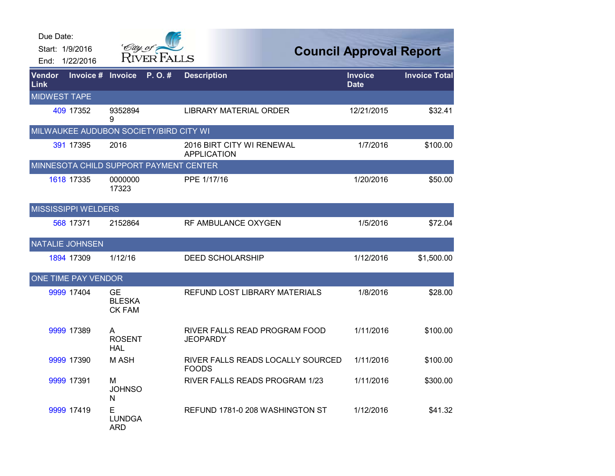| Due Date:           | Start: 1/9/2016<br>End: 1/22/2016      | City of                                     | <b>RIVER FALLS</b> |                                                   | <b>Council Approval Report</b> |                      |
|---------------------|----------------------------------------|---------------------------------------------|--------------------|---------------------------------------------------|--------------------------------|----------------------|
| Vendor<br>Link      | Invoice #                              | <b>Invoice</b>                              | P.O.#              | <b>Description</b>                                | <b>Invoice</b><br><b>Date</b>  | <b>Invoice Total</b> |
| <b>MIDWEST TAPE</b> |                                        |                                             |                    |                                                   |                                |                      |
|                     | 409 17352                              | 9352894<br>9                                |                    | <b>LIBRARY MATERIAL ORDER</b>                     | 12/21/2015                     | \$32.41              |
|                     | MILWAUKEE AUDUBON SOCIETY/BIRD CITY WI |                                             |                    |                                                   |                                |                      |
|                     | 391 17395                              | 2016                                        |                    | 2016 BIRT CITY WI RENEWAL<br><b>APPLICATION</b>   | 1/7/2016                       | \$100.00             |
|                     | MINNESOTA CHILD SUPPORT PAYMENT CENTER |                                             |                    |                                                   |                                |                      |
|                     | 1618 17335                             | 0000000<br>17323                            |                    | PPE 1/17/16                                       | 1/20/2016                      | \$50.00              |
|                     | <b>MISSISSIPPI WELDERS</b>             |                                             |                    |                                                   |                                |                      |
|                     | 568 17371                              | 2152864                                     |                    | RF AMBULANCE OXYGEN                               | 1/5/2016                       | \$72.04              |
|                     | <b>NATALIE JOHNSEN</b>                 |                                             |                    |                                                   |                                |                      |
|                     | 1894 17309                             | 1/12/16                                     |                    | <b>DEED SCHOLARSHIP</b>                           | 1/12/2016                      | \$1,500.00           |
|                     | ONE TIME PAY VENDOR                    |                                             |                    |                                                   |                                |                      |
|                     | 9999 17404                             | <b>GE</b><br><b>BLESKA</b><br><b>CK FAM</b> |                    | REFUND LOST LIBRARY MATERIALS                     | 1/8/2016                       | \$28.00              |
|                     | 9999 17389                             | A<br><b>ROSENT</b><br>HAL                   |                    | RIVER FALLS READ PROGRAM FOOD<br><b>JEOPARDY</b>  | 1/11/2016                      | \$100.00             |
|                     | 9999 17390                             | M ASH                                       |                    | RIVER FALLS READS LOCALLY SOURCED<br><b>FOODS</b> | 1/11/2016                      | \$100.00             |
|                     | 9999 17391                             | м<br><b>JOHNSO</b><br>N                     |                    | RIVER FALLS READS PROGRAM 1/23                    | 1/11/2016                      | \$300.00             |
|                     | 9999 17419                             | Е<br><b>LUNDGA</b><br><b>ARD</b>            |                    | REFUND 1781-0 208 WASHINGTON ST                   | 1/12/2016                      | \$41.32              |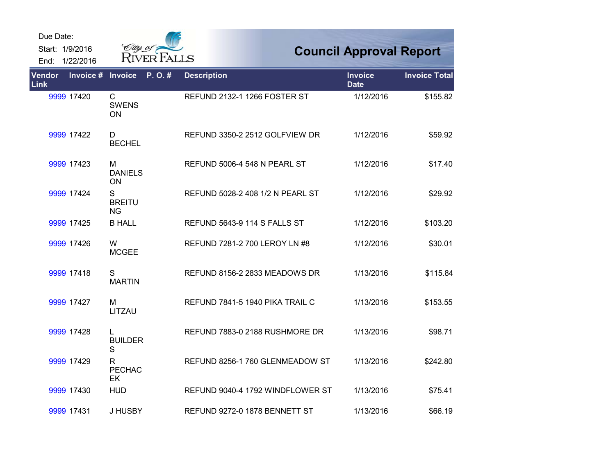## Due Date:

Start: 1/9/2016

End: 1/22/2016



## **Council Approval Report**

| Vendor<br>Link | Invoice #  | <b>Invoice</b>                     | P.O.# | <b>Description</b>                  | <b>Invoice</b><br><b>Date</b> | <b>Invoice Total</b> |
|----------------|------------|------------------------------------|-------|-------------------------------------|-------------------------------|----------------------|
|                | 9999 17420 | $\mathsf{C}$<br><b>SWENS</b><br>ON |       | REFUND 2132-1 1266 FOSTER ST        | 1/12/2016                     | \$155.82             |
|                | 9999 17422 | D<br><b>BECHEL</b>                 |       | REFUND 3350-2 2512 GOLFVIEW DR      | 1/12/2016                     | \$59.92              |
|                | 9999 17423 | м<br><b>DANIELS</b><br>ON          |       | REFUND 5006-4 548 N PEARL ST        | 1/12/2016                     | \$17.40              |
|                | 9999 17424 | S<br><b>BREITU</b><br><b>NG</b>    |       | REFUND 5028-2 408 1/2 N PEARL ST    | 1/12/2016                     | \$29.92              |
|                | 9999 17425 | <b>B HALL</b>                      |       | <b>REFUND 5643-9 114 S FALLS ST</b> | 1/12/2016                     | \$103.20             |
|                | 9999 17426 | W<br><b>MCGEE</b>                  |       | REFUND 7281-2 700 LEROY LN #8       | 1/12/2016                     | \$30.01              |
|                | 9999 17418 | S<br><b>MARTIN</b>                 |       | REFUND 8156-2 2833 MEADOWS DR       | 1/13/2016                     | \$115.84             |
|                | 9999 17427 | M<br>LITZAU                        |       | REFUND 7841-5 1940 PIKA TRAIL C     | 1/13/2016                     | \$153.55             |
|                | 9999 17428 | L<br><b>BUILDER</b><br>S           |       | REFUND 7883-0 2188 RUSHMORE DR      | 1/13/2016                     | \$98.71              |
|                | 9999 17429 | R.<br><b>PECHAC</b><br>EK          |       | REFUND 8256-1 760 GLENMEADOW ST     | 1/13/2016                     | \$242.80             |
|                | 9999 17430 | <b>HUD</b>                         |       | REFUND 9040-4 1792 WINDFLOWER ST    | 1/13/2016                     | \$75.41              |
|                | 9999 17431 | J HUSBY                            |       | REFUND 9272-0 1878 BENNETT ST       | 1/13/2016                     | \$66.19              |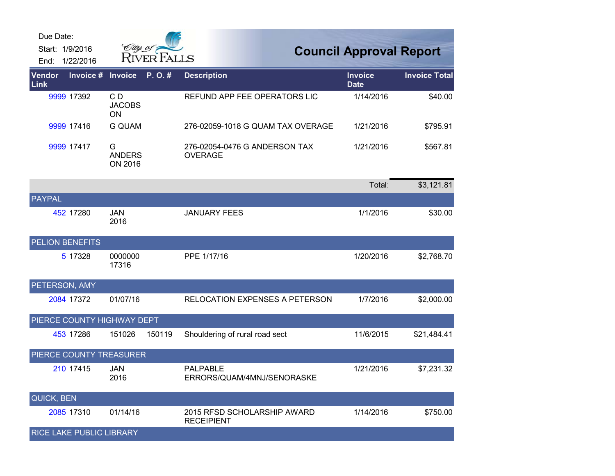| Due Date:       |                                 |                               |             |                                                  |                                |                      |
|-----------------|---------------------------------|-------------------------------|-------------|--------------------------------------------------|--------------------------------|----------------------|
| Start: 1/9/2016 | End: 1/22/2016                  | City of t                     | RIVER FALLS |                                                  | <b>Council Approval Report</b> |                      |
| Vendor<br>Link  | Invoice #                       | Invoice                       | P.O.#       | <b>Description</b>                               | <b>Invoice</b><br><b>Date</b>  | <b>Invoice Total</b> |
|                 | 9999 17392                      | CD<br><b>JACOBS</b><br>ΟN     |             | REFUND APP FEE OPERATORS LIC                     | 1/14/2016                      | \$40.00              |
|                 | 9999 17416                      | <b>G QUAM</b>                 |             | 276-02059-1018 G QUAM TAX OVERAGE                | 1/21/2016                      | \$795.91             |
|                 | 9999 17417                      | G<br><b>ANDERS</b><br>ON 2016 |             | 276-02054-0476 G ANDERSON TAX<br><b>OVERAGE</b>  | 1/21/2016                      | \$567.81             |
|                 |                                 |                               |             |                                                  | Total:                         | \$3,121.81           |
| PAYPAL          |                                 |                               |             |                                                  |                                |                      |
|                 | 452 17280                       | <b>JAN</b><br>2016            |             | <b>JANUARY FEES</b>                              | 1/1/2016                       | \$30.00              |
| PELION BENEFITS |                                 |                               |             |                                                  |                                |                      |
|                 | 5 17328                         | 0000000<br>17316              |             | PPE 1/17/16                                      | 1/20/2016                      | \$2,768.70           |
| PETERSON, AMY   |                                 |                               |             |                                                  |                                |                      |
|                 | 2084 17372                      | 01/07/16                      |             | RELOCATION EXPENSES A PETERSON                   | 1/7/2016                       | \$2,000.00           |
|                 | PIERCE COUNTY HIGHWAY DEPT      |                               |             |                                                  |                                |                      |
|                 | 453 17286                       | 151026                        | 150119      | Shouldering of rural road sect                   | 11/6/2015                      | \$21,484.41          |
|                 | PIERCE COUNTY TREASURER         |                               |             |                                                  |                                |                      |
|                 | 210 17415                       | <b>JAN</b><br>2016            |             | <b>PALPABLE</b><br>ERRORS/QUAM/4MNJ/SENORASKE    | 1/21/2016                      | \$7,231.32           |
| QUICK, BEN      |                                 |                               |             |                                                  |                                |                      |
|                 | 2085 17310                      | 01/14/16                      |             | 2015 RFSD SCHOLARSHIP AWARD<br><b>RECEIPIENT</b> | 1/14/2016                      | \$750.00             |
|                 | <b>RICE LAKE PUBLIC LIBRARY</b> |                               |             |                                                  |                                |                      |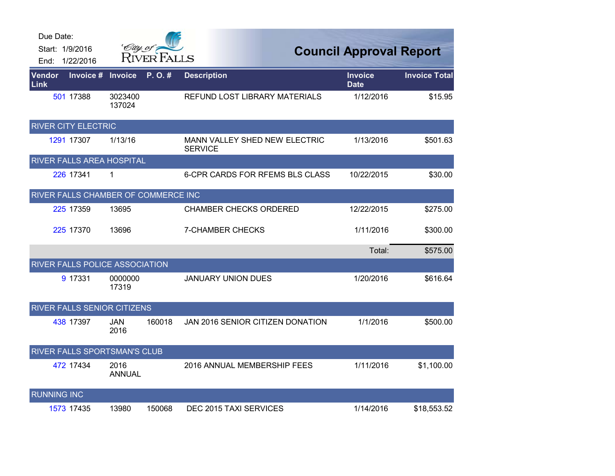| Due Date:          | Start: 1/9/2016                     | City of               |             |                                                        |                                |                      |
|--------------------|-------------------------------------|-----------------------|-------------|--------------------------------------------------------|--------------------------------|----------------------|
|                    | End: 1/22/2016                      |                       | RIVER FALLS |                                                        | <b>Council Approval Report</b> |                      |
| Vendor<br>Link     | Invoice #                           | <b>Invoice</b>        | P.O.#       | <b>Description</b>                                     | <b>Invoice</b><br><b>Date</b>  | <b>Invoice Total</b> |
|                    | 501 17388                           | 3023400<br>137024     |             | REFUND LOST LIBRARY MATERIALS                          | 1/12/2016                      | \$15.95              |
|                    | <b>RIVER CITY ELECTRIC</b>          |                       |             |                                                        |                                |                      |
|                    | 1291 17307                          | 1/13/16               |             | <b>MANN VALLEY SHED NEW ELECTRIC</b><br><b>SERVICE</b> | 1/13/2016                      | \$501.63             |
|                    | RIVER FALLS AREA HOSPITAL           |                       |             |                                                        |                                |                      |
|                    | 226 17341                           | 1                     |             | <b>6-CPR CARDS FOR RFEMS BLS CLASS</b>                 | 10/22/2015                     | \$30.00              |
|                    | RIVER FALLS CHAMBER OF COMMERCE INC |                       |             |                                                        |                                |                      |
|                    | 225 17359                           | 13695                 |             | <b>CHAMBER CHECKS ORDERED</b>                          | 12/22/2015                     | \$275.00             |
|                    | 225 17370                           | 13696                 |             | <b>7-CHAMBER CHECKS</b>                                | 1/11/2016                      | \$300.00             |
|                    |                                     |                       |             |                                                        | Total:                         | \$575.00             |
|                    | RIVER FALLS POLICE ASSOCIATION      |                       |             |                                                        |                                |                      |
|                    | 9 17331                             | 0000000<br>17319      |             | <b>JANUARY UNION DUES</b>                              | 1/20/2016                      | \$616.64             |
|                    | <b>RIVER FALLS SENIOR CITIZENS</b>  |                       |             |                                                        |                                |                      |
|                    | 438 17397                           | <b>JAN</b><br>2016    | 160018      | JAN 2016 SENIOR CITIZEN DONATION                       | 1/1/2016                       | \$500.00             |
|                    | RIVER FALLS SPORTSMAN'S CLUB        |                       |             |                                                        |                                |                      |
|                    | 472 17434                           | 2016<br><b>ANNUAL</b> |             | 2016 ANNUAL MEMBERSHIP FEES                            | 1/11/2016                      | \$1,100.00           |
| <b>RUNNING INC</b> |                                     |                       |             |                                                        |                                |                      |
|                    | 1573 17435                          | 13980                 | 150068      | DEC 2015 TAXI SERVICES                                 | 1/14/2016                      | \$18,553.52          |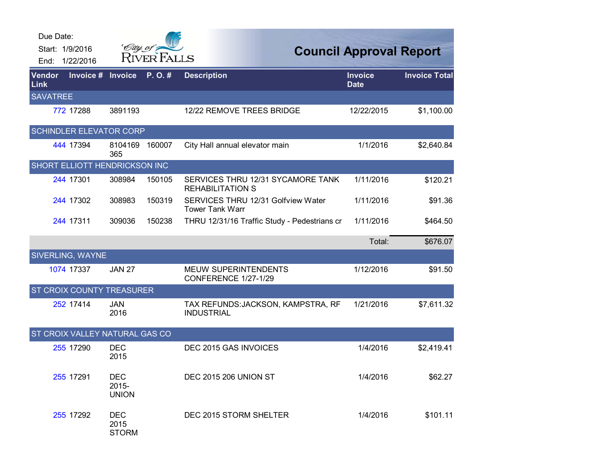| Due Date:       | Start: 1/9/2016<br>End: 1/22/2016    |                                     | <i>City of</i> |                                                              | <b>Council Approval Report</b> |                      |
|-----------------|--------------------------------------|-------------------------------------|----------------|--------------------------------------------------------------|--------------------------------|----------------------|
| Vendor<br>Link  | Invoice #                            | <b>Invoice</b>                      | P.O.#          | <b>Description</b>                                           | <b>Invoice</b><br><b>Date</b>  | <b>Invoice Total</b> |
| <b>SAVATREE</b> |                                      |                                     |                |                                                              |                                |                      |
|                 | 772 17288                            | 3891193                             |                | 12/22 REMOVE TREES BRIDGE                                    | 12/22/2015                     | \$1,100.00           |
|                 | <b>SCHINDLER ELEVATOR CORP</b>       |                                     |                |                                                              |                                |                      |
|                 | 444 17394                            | 8104169<br>365                      | 160007         | City Hall annual elevator main                               | 1/1/2016                       | \$2,640.84           |
|                 | <b>SHORT ELLIOTT HENDRICKSON INC</b> |                                     |                |                                                              |                                |                      |
|                 | 244 17301                            | 308984                              | 150105         | SERVICES THRU 12/31 SYCAMORE TANK<br><b>REHABILITATION S</b> | 1/11/2016                      | \$120.21             |
|                 | 244 17302                            | 308983                              | 150319         | SERVICES THRU 12/31 Golfview Water<br><b>Tower Tank Warr</b> | 1/11/2016                      | \$91.36              |
|                 | 244 17311                            | 309036                              | 150238         | THRU 12/31/16 Traffic Study - Pedestrians cr                 | 1/11/2016                      | \$464.50             |
|                 |                                      |                                     |                |                                                              | Total:                         | \$676.07             |
|                 | <b>SIVERLING, WAYNE</b>              |                                     |                |                                                              |                                |                      |
|                 | 1074 17337                           | <b>JAN 27</b>                       |                | <b>MEUW SUPERINTENDENTS</b><br>CONFERENCE 1/27-1/29          | 1/12/2016                      | \$91.50              |
|                 | <b>ST CROIX COUNTY TREASURER</b>     |                                     |                |                                                              |                                |                      |
|                 | 252 17414                            | <b>JAN</b><br>2016                  |                | TAX REFUNDS: JACKSON, KAMPSTRA, RF<br><b>INDUSTRIAL</b>      | 1/21/2016                      | \$7,611.32           |
|                 | ST CROIX VALLEY NATURAL GAS CO       |                                     |                |                                                              |                                |                      |
|                 | 255 17290                            | <b>DEC</b><br>2015                  |                | DEC 2015 GAS INVOICES                                        | 1/4/2016                       | \$2,419.41           |
|                 | 255 17291                            | <b>DEC</b><br>2015-<br><b>UNION</b> |                | <b>DEC 2015 206 UNION ST</b>                                 | 1/4/2016                       | \$62.27              |
|                 | 255 17292                            | <b>DEC</b><br>2015<br><b>STORM</b>  |                | DEC 2015 STORM SHELTER                                       | 1/4/2016                       | \$101.11             |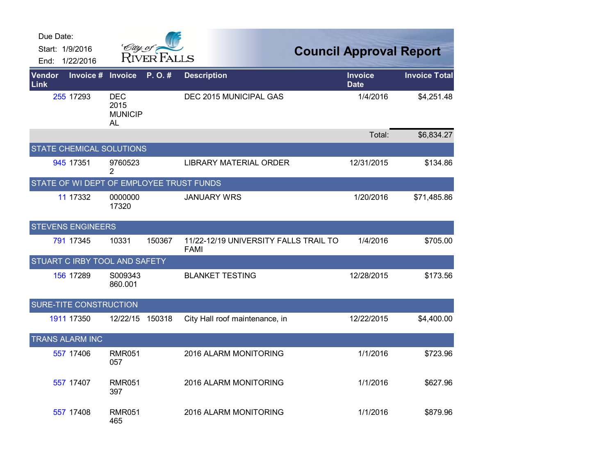| Due Date:<br>Start: 1/9/2016<br>1/22/2016<br>End: | City of                                    | <b>RIVER FALLS</b> |                                                      | <b>Council Approval Report</b> |                      |
|---------------------------------------------------|--------------------------------------------|--------------------|------------------------------------------------------|--------------------------------|----------------------|
| <b>Vendor</b><br>Invoice #<br>Link                | <b>Invoice</b>                             | P.O.#              | <b>Description</b>                                   | <b>Invoice</b><br><b>Date</b>  | <b>Invoice Total</b> |
| 255 17293                                         | <b>DEC</b><br>2015<br><b>MUNICIP</b><br>AL |                    | DEC 2015 MUNICIPAL GAS                               | 1/4/2016                       | \$4,251.48           |
|                                                   |                                            |                    |                                                      | Total:                         | \$6,834.27           |
| STATE CHEMICAL SOLUTIONS                          |                                            |                    |                                                      |                                |                      |
| 945 17351                                         | 9760523<br>2                               |                    | LIBRARY MATERIAL ORDER                               | 12/31/2015                     | \$134.86             |
| STATE OF WI DEPT OF EMPLOYEE TRUST FUNDS          |                                            |                    |                                                      |                                |                      |
| 11 17332                                          | 0000000<br>17320                           |                    | <b>JANUARY WRS</b>                                   | 1/20/2016                      | \$71,485.86          |
| <b>STEVENS ENGINEERS</b>                          |                                            |                    |                                                      |                                |                      |
| 791 17345                                         | 10331                                      | 150367             | 11/22-12/19 UNIVERSITY FALLS TRAIL TO<br><b>FAMI</b> | 1/4/2016                       | \$705.00             |
| STUART C IRBY TOOL AND SAFETY                     |                                            |                    |                                                      |                                |                      |
| 156 17289                                         | S009343<br>860.001                         |                    | <b>BLANKET TESTING</b>                               | 12/28/2015                     | \$173.56             |
| SURE-TITE CONSTRUCTION                            |                                            |                    |                                                      |                                |                      |
| 1911 17350                                        | 12/22/15                                   | 150318             | City Hall roof maintenance, in                       | 12/22/2015                     | \$4,400.00           |
| <b>TRANS ALARM INC</b>                            |                                            |                    |                                                      |                                |                      |
| 557 17406                                         | <b>RMR051</b><br>057                       |                    | 2016 ALARM MONITORING                                | 1/1/2016                       | \$723.96             |
| 557 17407                                         | <b>RMR051</b><br>397                       |                    | 2016 ALARM MONITORING                                | 1/1/2016                       | \$627.96             |
| 557 17408                                         | <b>RMR051</b><br>465                       |                    | 2016 ALARM MONITORING                                | 1/1/2016                       | \$879.96             |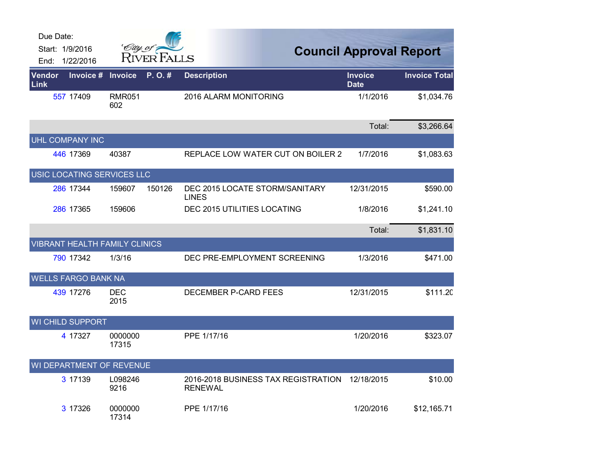| Due Date:                                            |                      |                    |                                                       |                                |                      |
|------------------------------------------------------|----------------------|--------------------|-------------------------------------------------------|--------------------------------|----------------------|
| Start: 1/9/2016                                      | City of a            | <b>RIVER FALLS</b> |                                                       | <b>Council Approval Report</b> |                      |
| End: 1/22/2016<br>Invoice #<br><b>Vendor</b><br>Link | <b>Invoice</b>       | P.O.#              | <b>Description</b>                                    | Invoice<br><b>Date</b>         | <b>Invoice Total</b> |
| 557 17409                                            | <b>RMR051</b><br>602 |                    | 2016 ALARM MONITORING                                 | 1/1/2016                       | \$1,034.76           |
|                                                      |                      |                    |                                                       | Total:                         | \$3,266.64           |
| UHL COMPANY INC                                      |                      |                    |                                                       |                                |                      |
| 446 17369                                            | 40387                |                    | REPLACE LOW WATER CUT ON BOILER 2                     | 1/7/2016                       | \$1,083.63           |
| USIC LOCATING SERVICES LLC                           |                      |                    |                                                       |                                |                      |
| 286 17344                                            | 159607               | 150126             | DEC 2015 LOCATE STORM/SANITARY<br><b>LINES</b>        | 12/31/2015                     | \$590.00             |
| 286 17365                                            | 159606               |                    | DEC 2015 UTILITIES LOCATING                           | 1/8/2016                       | \$1,241.10           |
|                                                      |                      |                    |                                                       | Total:                         | \$1,831.10           |
| <b>VIBRANT HEALTH FAMILY CLINICS</b>                 |                      |                    |                                                       |                                |                      |
| 790 17342                                            | 1/3/16               |                    | DEC PRE-EMPLOYMENT SCREENING                          | 1/3/2016                       | \$471.00             |
| <b>WELLS FARGO BANK NA</b>                           |                      |                    |                                                       |                                |                      |
| 439 17276                                            | <b>DEC</b><br>2015   |                    | DECEMBER P-CARD FEES                                  | 12/31/2015                     | \$111.20             |
| WI CHILD SUPPORT                                     |                      |                    |                                                       |                                |                      |
| 4 17327                                              | 0000000<br>17315     |                    | PPE 1/17/16                                           | 1/20/2016                      | \$323.07             |
| WI DEPARTMENT OF REVENUE                             |                      |                    |                                                       |                                |                      |
| 3 17139                                              | L098246<br>9216      |                    | 2016-2018 BUSINESS TAX REGISTRATION<br><b>RENEWAL</b> | 12/18/2015                     | \$10.00              |
| 3 17326                                              | 0000000<br>17314     |                    | PPE 1/17/16                                           | 1/20/2016                      | \$12,165.71          |